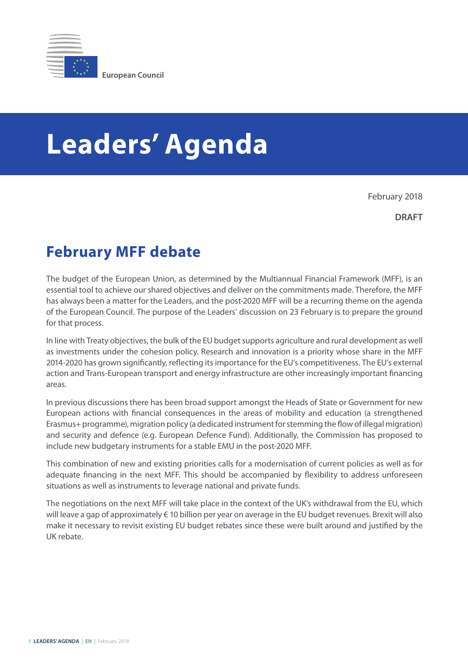

## **Leaders' Agenda**

February 2018

**DRAFT**

## **February MFF debate**

The budget of the European Union, as determined by the Multiannual Financial Framework (MFF), is an essential tool to achieve our shared objectives and deliver on the commitments made. Therefore, the MFF has always been a matter for the Leaders, and the post-2020 MFF will be a recurring theme on the agenda of the European Council. The purpose of the Leaders' discussion on 23 February is to prepare the ground for that process.

In line with Treaty objectives, the bulk of the EU budget supports agriculture and rural development as well as investments under the cohesion policy. Research and innovation is a priority whose share in the MFF 2014-2020 has grown significantly, reflecting its importance for the EU's competitiveness. The EU's external action and Trans-European transport and energy infrastructure are other increasingly important financing areas.

In previous discussions there has been broad support amongst the Heads of State or Government for new European actions with financial consequences in the areas of mobility and education (a strengthened Erasmus+ programme), migration policy (a dedicated instrument for stemming the flow of illegal migration) and security and defence (e.g. European Defence Fund). Additionally, the Commission has proposed to include new budgetary instruments for a stable EMU in the post-2020 MFF.

This combination of new and existing priorities calls for a modernisation of current policies as well as for adequate financing in the next MFF. This should be accompanied by flexibility to address unforeseen situations as well as instruments to leverage national and private funds.

The negotiations on the next MFF will take place in the context of the UK's withdrawal from the EU, which will leave a gap of approximately € 10 billion per year on average in the EU budget revenues. Brexit will also make it necessary to revisit existing EU budget rebates since these were built around and justified by the UK rebate.